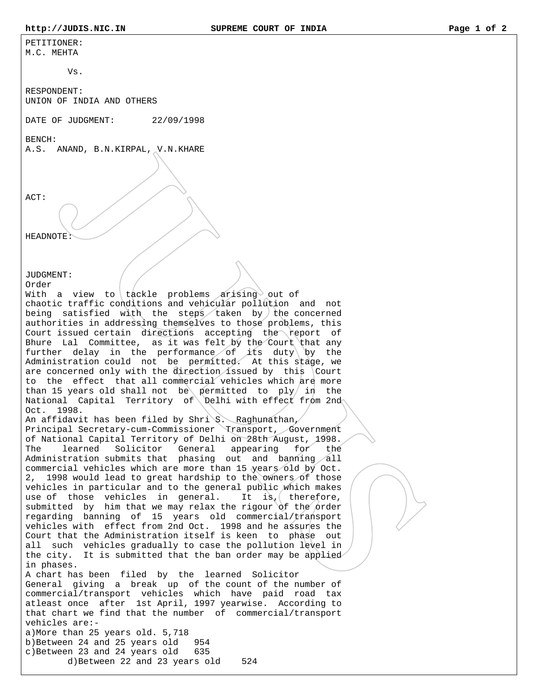PETITIONER: M.C. MEHTA

 $V$ s.

RESPONDENT: UNION OF INDIA AND OTHERS

DATE OF JUDGMENT: 22/09/1998

BENCH:

A.S. ANAND, B.N.KIRPAL, V.N.KHARE

ACT:

HEADNOTE:

JUDGMENT:

Order

With a view to tackle problems arising out of chaotic traffic conditions and vehicular pollution and not being satisfied with the steps taken by the concerned authorities in addressing themselves to those problems, this Court issued certain directions accepting the report of Bhure Lal Committee, as it was felt by the Court that any further delay in the performance of its duty by the Administration could not be permitted. At this stage, we are concerned only with the direction issued by this Court to the effect that all commercial vehicles which are more than 15 years old shall not be permitted to ply in the National Capital Territory of Delhi with effect from 2nd Oct. 1998.

An affidavit has been filed by Shri S. Raghunathan, Principal Secretary-cum-Commissioner Transport, Government of National Capital Territory of Delhi on 28th August, 1998. The learned Solicitor General appearing for the Administration submits that phasing out and banning all commercial vehicles which are more than 15 years old by Oct. 2, 1998 would lead to great hardship to the owners of those vehicles in particular and to the general public which makes use of those vehicles in general. It is, therefore, submitted by him that we may relax the rigour of the order regarding banning of 15 years old commercial/transport vehicles with effect from 2nd Oct. 1998 and he assures the Court that the Administration itself is keen to phase out all such vehicles gradually to case the pollution level in the city. It is submitted that the ban order may be applied in phases.

A chart has been filed by the learned Solicitor General giving a break up of the count of the number of commercial/transport vehicles which have paid road tax atleast once after 1st April, 1997 yearwise. According to that chart we find that the number of commercial/transport vehicles are: a)More than 25 years old. 5,718 b)Between 24 and 25 years old 954 c)Between 23 and 24 years old 635 d)Between 22 and 23 years old 524